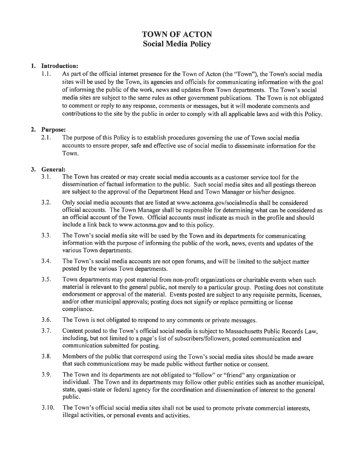# TOWN OF ACTON Social Media Policy

### 1. Introduction:

1.1. As part of the official internet presence for the Town of Acton (the "Town"), the Town's social media sites will be used by the Town, its agencies and officials for communicating information with the goa<sup>l</sup> of informing the public of the work, news and updates from Town departments. The Town's social media sites are subject to the same rules as other governmen<sup>t</sup> publications. The Town is not obligated to comment or reply to any response, comments or messages, but it will moderate comments and contributions to the site by the public in order to comply with all applicable laws and with this Policy.

#### 2. Purpose:

2.1. The purpose of this Policy is to establish procedures governing the use of Town social media accounts to ensure proper, safe and effective use of social media to disseminate information for the Town.

### 3. General:

- 3.1. The Town has created or may create social media accounts as <sup>a</sup> customer service tool for the dissemination of factual information to the public. Such social media sites and all postings thereon are subject to the approva<sup>l</sup> of the Department Head and Town Manager or his/her designee.
- 3.2. Only social media accounts that are listed at www.actonma.gov/socialmedia shall be considered official accounts. The Town Manager shall be responsible for determining what can be considered as an official account of the Town. Official accounts must indicate as much in the profile and should include a link back to www.actonma.gov and to this policy.
- 3.3. The Town's social media site will be used by the Town and its departments for communicating information with the purpose of informing the public of the work, news, events and updates of the various Town departments.
- 3.4. The Town's social media accounts are not open forums, and will be limited to the subject matter posted by the various Town departments.
- 3.5. Town departments may pos<sup>t</sup> material from non-profit organizations or charitable events when such material is relevant to the genera<sup>l</sup> public, not merely to <sup>a</sup> particular group. Posting does not constitute endorsement or approva<sup>l</sup> of the material. Events posted are subject to any requisite permits, licenses, and/or other municipal approvals; posting does not signify or replace permitting or license compliance.
- 3.6. The Town is not obligated to respond to any comments or private messages.
- 3.7. Content posted to the Town's official social media is subject to Massachusetts Public Records Law, including, but not limited to <sup>a</sup> page's list of subscribers/followers, posted communication and communication submitted for posting.
- 3.8. Members ofthe public that correspond using the Town's social media sites should be made aware that such communications may be made public without further notice or consent.
- 3.9. The Town and its departments are not obligated to "follow" or "friend" any organization or individual. The Town and its departments may follow other public entities such as another municipal, state, quasi-state or federal agency for the coordination and dissemination of interest to the genera<sup>l</sup> public.
- 3.10. The Town's official social media sites shall not be used to promote private commercial interests, illegal activities, or personal events and activities.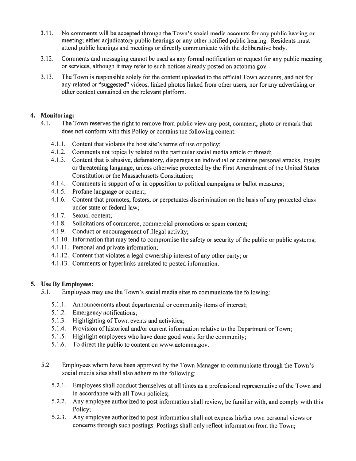- 3.11. No comments will be accepted through the Town's social media accounts for any public hearing or meeting; either adjudicatory public hearings or any other notified public hearing. Residents must attend public hearings and meetings or directly communicate with the deliberative body.
- 3.12. Comments and messaging cannot be used as any formal notification or reques<sup>t</sup> for any public meeting or services, although it may refer to such notices already posted on actonma.gov.
- 3.13. The Town is responsible solely for the content uploaded to the official Town accounts, and not for any related or '"suggested" videos, linked <sup>p</sup>hotos linked from other users, nor for any advertising or other content contained on the relevant platform.

# 4. Monitoring:

- 4.1. The Town reserves the right to remove from public view any post, comment, <sup>p</sup>hoto or remark that does not conform with this Policy or contains the following content:
	- 4.1.1. Content that violates the host site's terms of use or policy;
	- 4.1.2. Comments not topically related to the particular social media article or thread;
	- 4.1.3. Content that is abusive, defamatory, disparages an individual or contains personal attacks, insults or threatening language, unless otherwise protected by the First Amendment of the United States Constitution or the Massachusetts Constitution;
	- 4.1.4. Comments in suppor<sup>t</sup> of or in opposition to political campaigns or ballot measures;
	- 4.1.5. Profane language or content;
	- 4.1 .6. Content that promotes, fosters. or perpetuates discrimination on the basis of any protected class under state or federal law;
	- 4.1.7. Sexual content;
	- 4.1.8. Solicitations of commerce, commercial promotions or spam content;
	- 4.1.9. Conduct or encouragemen<sup>t</sup> of illegal activity;
	- 4.1.10. Information that may tend to compromise the safety or security of the public or public systems;
	- 4.1.11. Personal and private information;
	- 4.1.12. Content that violates <sup>a</sup> legal ownership interest of any other party; or
	- 4.1.13. Comments or hyperlinks unrelated to posted information.

# 5. Use By Employees:

- 5.1. Employees may use the Town's social media sites to communicate the following:
	- 5.1.1. Announcements about departmental or community items of interest;
	- 5.1.2. Emergency notifications;
	- 5.1.3. Highlighting of Town events and activities;
	- 5.1.4. Provision of historical and/or current information relative to the Department or Town;
	- 5.1.5. Highlight employees who have done good work for the community;
	- 5.1.6. To direct the public to content on www.actonma.gov.
- 5.2. Employees whom have been approve<sup>d</sup> by the Town Manager to communicate through the Town's social media sites shall also adhere to the following:
	- 5.2.1. Employees shall conduct themselves at all times as <sup>a</sup> professional representative of the Town and in accordance with all Town policies;
	- 5.2.2. Any employee authorized to pos<sup>t</sup> information shall review, be familiar with, and comply with this Policy;
	- 5.2.3. Any employee authorized to pos<sup>t</sup> information shall not express his/her own persona<sup>l</sup> views or concerns through such postings. Postings shall only reflect information from the Town;